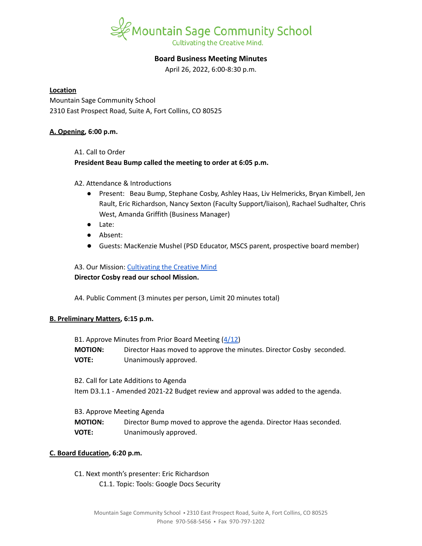

# **Board Business Meeting Minutes**

April 26, 2022, 6:00-8:30 p.m.

### **Location**

Mountain Sage Community School 2310 East Prospect Road, Suite A, Fort Collins, CO 80525

### **A. Opening, 6:00 p.m.**

A1. Call to Order

## **President Beau Bump called the meeting to order at 6:05 p.m.**

A2. Attendance & Introductions

- Present: Beau Bump, Stephane Cosby, Ashley Haas, Liv Helmericks, Bryan Kimbell, Jen Rault, Eric Richardson, Nancy Sexton (Faculty Support/liaison), Rachael Sudhalter, Chris West, Amanda Griffith (Business Manager)
- Late:
- Absent:
- Guests: MacKenzie Mushel (PSD Educator, MSCS parent, prospective board member)

A3. Our Mission: [Cultivating](https://www.mountainsage.org/about-us/mission-and-vision/) the Creative Mind **Director Cosby read our school Mission.**

A4. Public Comment (3 minutes per person, Limit 20 minutes total)

## **B. Preliminary Matters, 6:15 p.m.**

| B1. Approve Minutes from Prior Board Meeting (4/12) |                                                                      |
|-----------------------------------------------------|----------------------------------------------------------------------|
| <b>MOTION:</b>                                      | Director Haas moved to approve the minutes. Director Cosby seconded. |
| <b>VOTE:</b>                                        | Unanimously approved.                                                |

B2. Call for Late Additions to Agenda Item D3.1.1 - Amended 2021-22 Budget review and approval was added to the agenda.

B3. Approve Meeting Agenda **MOTION:** Director Bump moved to approve the agenda. Director Haas seconded. **VOTE:** Unanimously approved.

## **C. Board Education, 6:20 p.m.**

C1. Next month's presenter: Eric Richardson C1.1. Topic: Tools: Google Docs Security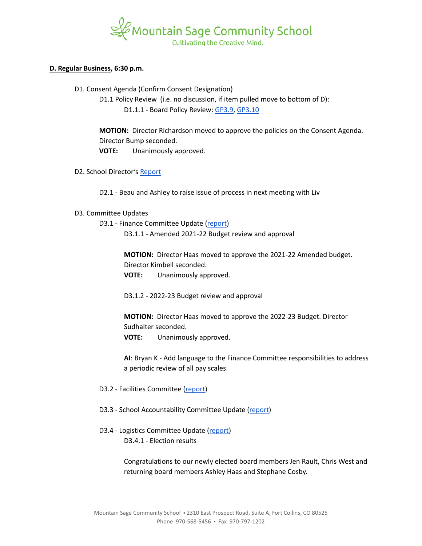

### **D. Regular Business, 6:30 p.m.**

D1. Consent Agenda (Confirm Consent Designation)

D1.1 Policy Review (i.e. no discussion, if item pulled move to bottom of D):

D1.1.1 - Board Policy Review: [GP3.9,](https://docs.google.com/document/d/1i6NGBbxZjvcmJUjud0bdBKC2Fh_S0Oz7ohEMe_sz_Lk/edit) [GP3.10](https://docs.google.com/document/d/1SlF3cHVQfU9alRa-s9YSLYbjkR3MyXITu4wVCfhZyuU/edit)

**MOTION:** Director Richardson moved to approve the policies on the Consent Agenda. Director Bump seconded. **VOTE:** Unanimously approved.

D2. School Director's [Report](https://docs.google.com/document/d/1fiVqSl6G-IDLucsMRRFPGEIlmwO35bmrrzjZWlmOsVA)

D2.1 - Beau and Ashley to raise issue of process in next meeting with Liv

### D3. Committee Updates

D3.1 - Finance Committee Update ([report](https://docs.google.com/document/d/1vapLSVBwIKW7YvhetyjzwLk5wnwqErOxb7l60ITb49U)) D3.1.1 - Amended 2021-22 Budget review and approval

> **MOTION:** Director Haas moved to approve the 2021-22 Amended budget. Director Kimbell seconded.

**VOTE:** Unanimously approved.

D3.1.2 - 2022-23 Budget review and approval

**MOTION:** Director Haas moved to approve the 2022-23 Budget. Director Sudhalter seconded.

**VOTE:** Unanimously approved.

**AI**: Bryan K - Add language to the Finance Committee responsibilities to address a periodic review of all pay scales.

- D3.2 Facilities Committee [\(report\)](https://docs.google.com/document/d/1URfBIQFl6Y98WXumOBfEgLWftI6bVZ646FZ-NSGnQxY)
- D3.3 School Accountability Committee Update [\(report](https://docs.google.com/document/d/1FjPkXNZYbUGIkz-K1PW4NQAyMrV1ifr3IBm7IJlsiuo))
- D3.4 Logistics Committee Update ([report](https://docs.google.com/document/d/1qnrSk_lhBHqsH3fChUZmrtlVC77GkIpIlYDxc4kgdYI)) D3.4.1 - Election results

Congratulations to our newly elected board members Jen Rault, Chris West and returning board members Ashley Haas and Stephane Cosby.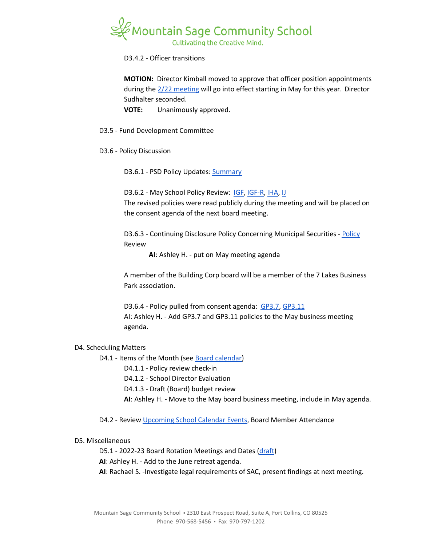

D3.4.2 - Officer transitions

**MOTION:** Director Kimball moved to approve that officer position appointments during the 2/22 [meeting](https://www.mountainsage.org/wp-content/uploads/2022/03/2022-02-22-MSCS-Board-Business-Meeting-Minutes.pdf) will go into effect starting in May for this year. Director Sudhalter seconded.

**VOTE:** Unanimously approved.

- D3.5 Fund Development Committee
- D3.6 Policy Discussion

D3.6.1 - PSD Policy Updates: [Summary](https://docs.google.com/document/d/1mg9ciMOiCkMle94lmk4DNz14P_duKwm1e5IgX9bq2mY)

D3.6.2 - May School Policy Review: [IGF](https://drive.google.com/open?id=1YBuMipv4-8akEC1rjji4WdzpHc0a9nuVUP8uPDaN7w8), [IGF-R](https://drive.google.com/open?id=1miaI655qSVx0mkoge_Ogf0wfQe_WHysQOHWy3E8vP_4), [IHA,](https://drive.google.com/open?id=1rMNshX07qFv68v2FzhCZDtcOTvdvQ8-phi6XyMGnv2A) [IJ](https://drive.google.com/open?id=16Apta1Nk1rBYb8051Ha-6trPXjppnsisQfkh4iU4n5I) The revised policies were read publicly during the meeting and will be placed on the consent agenda of the next board meeting.

D3.6.3 - Continuing Disclosure [Policy](https://docs.google.com/document/d/1mK5rPO30BVWCVnOLBB8bNXzC9qgrFD0o/edit?usp=sharing&ouid=112269595831504441268&rtpof=true&sd=true) Concerning Municipal Securities - Policy Review

**AI**: Ashley H. - put on May meeting agenda

A member of the Building Corp board will be a member of the 7 Lakes Business Park association.

D3.6.4 - Policy pulled from consent agenda: [GP3.7,](https://docs.google.com/document/d/1373qt1YXZKad8EZGuCRW_oa8Xcf6y9CN5zuFsCV0s18/edit) [GP3.11](https://docs.google.com/document/d/1wBiDP8kqKlyJ4ohM3_tg5_pp2Uy8FXx9msG9Vqy2trM/edit) AI: Ashley H. - Add GP3.7 and GP3.11 policies to the May business meeting agenda.

### D4. Scheduling Matters

D4.1 - Items of the Month (see Board [calendar\)](https://docs.google.com/document/d/12S6s-qevYMsnj8Cr2yw6uMO7S7hL3gz2oKvXZk5ZndQ/edit?usp=sharing)

D4.1.1 - Policy review check-in

D4.1.2 - School Director Evaluation

D4.1.3 - Draft (Board) budget review

**AI**: Ashley H. - Move to the May board business meeting, include in May agenda.

D4.2 - Review [Upcoming](https://www.mountainsage.org/calendars/) School Calendar Events, Board Member Attendance

### D5. Miscellaneous

D5.1 - 2022-23 Board Rotation Meetings and Dates [\(draft](https://docs.google.com/spreadsheets/d/1ntA-UB3Q817BgwAJeV68Wwxbza1B-tZYirsiyp0ZHeY/edit?usp=sharing))

**AI**: Ashley H. - Add to the June retreat agenda.

**AI**: Rachael S. -Investigate legal requirements of SAC, present findings at next meeting.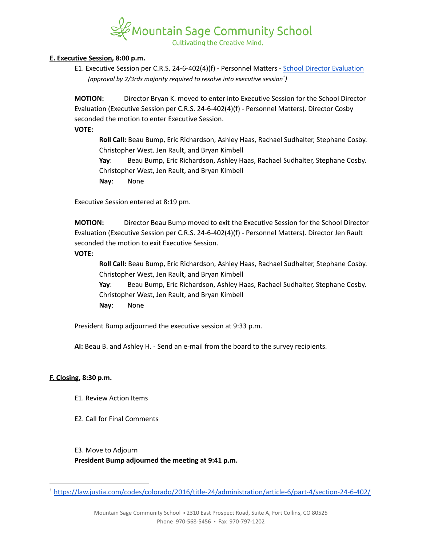

### **E. Executive Session, 8:00 p.m.**

E1. Executive Session per C.R.S. 24-6-402(4)(f) - Personnel Matters - School Director [Evaluation](https://docs.google.com/document/d/1UdgmXYE3posfh2bNuV6KAWxQvELogqQaY_AxWWZ-ydc/edit) *(approval by 2/3rds majority required to resolve into executive session ) 1*

**MOTION:** Director Bryan K. moved to enter into Executive Session for the School Director Evaluation (Executive Session per C.R.S. 24-6-402(4)(f) - Personnel Matters). Director Cosby seconded the motion to enter Executive Session.

### **VOTE:**

**Roll Call:** Beau Bump, Eric Richardson, Ashley Haas, Rachael Sudhalter, Stephane Cosby. Christopher West. Jen Rault, and Bryan Kimbell

**Yay**: Beau Bump, Eric Richardson, Ashley Haas, Rachael Sudhalter, Stephane Cosby. Christopher West, Jen Rault, and Bryan Kimbell

**Nay**: None

Executive Session entered at 8:19 pm.

**MOTION:** Director Beau Bump moved to exit the Executive Session for the School Director Evaluation (Executive Session per C.R.S. 24-6-402(4)(f) - Personnel Matters). Director Jen Rault seconded the motion to exit Executive Session.

**VOTE:**

**Roll Call:** Beau Bump, Eric Richardson, Ashley Haas, Rachael Sudhalter, Stephane Cosby. Christopher West, Jen Rault, and Bryan Kimbell

**Yay**: Beau Bump, Eric Richardson, Ashley Haas, Rachael Sudhalter, Stephane Cosby. Christopher West, Jen Rault, and Bryan Kimbell **Nay**: None

President Bump adjourned the executive session at 9:33 p.m.

**AI:** Beau B. and Ashley H. - Send an e-mail from the board to the survey recipients.

### **F. Closing, 8:30 p.m.**

- E1. Review Action Items
- E2. Call for Final Comments

### E3. Move to Adjourn

**President Bump adjourned the meeting at 9:41 p.m.**

<sup>1</sup> <https://law.justia.com/codes/colorado/2016/title-24/administration/article-6/part-4/section-24-6-402/>